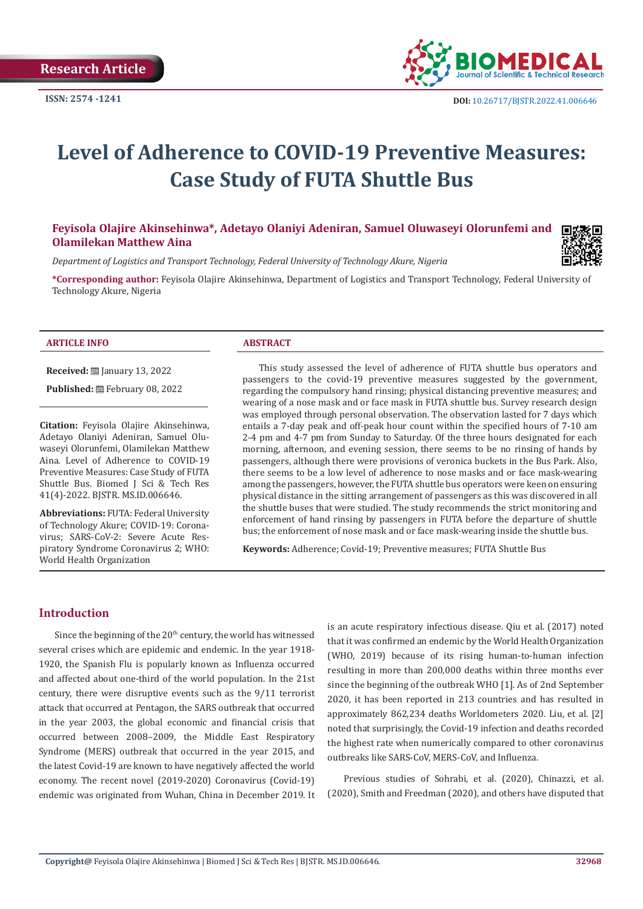

# **Level of Adherence to COVID-19 Preventive Measures: Case Study of FUTA Shuttle Bus**

# **Feyisola Olajire Akinsehinwa\*, Adetayo Olaniyi Adeniran, Samuel Oluwaseyi Olorunfemi and Olamilekan Matthew Aina**

*Department of Logistics and Transport Technology, Federal University of Technology Akure, Nigeria*

**\*Corresponding author:** Feyisola Olajire Akinsehinwa, Department of Logistics and Transport Technology, Federal University of Technology Akure, Nigeria

#### **ARTICLE INFO ABSTRACT**

**Received:** ■ January 13, 2022

Published: **■**February 08, 2022

**Citation:** Feyisola Olajire Akinsehinwa, Adetayo Olaniyi Adeniran, Samuel Oluwaseyi Olorunfemi, Olamilekan Matthew Aina. Level of Adherence to COVID-19 Preventive Measures: Case Study of FUTA Shuttle Bus. Biomed J Sci & Tech Res 41(4)-2022. BJSTR. MS.ID.006646.

**Abbreviations:** FUTA: Federal University of Technology Akure; COVID-19: Coronavirus; SARS-CoV-2: Severe Acute Respiratory Syndrome Coronavirus 2; WHO: World Health Organization

This study assessed the level of adherence of FUTA shuttle bus operators and passengers to the covid-19 preventive measures suggested by the government, regarding the compulsory hand rinsing; physical distancing preventive measures; and wearing of a nose mask and or face mask in FUTA shuttle bus. Survey research design was employed through personal observation. The observation lasted for 7 days which entails a 7-day peak and off-peak hour count within the specified hours of 7-10 am 2-4 pm and 4-7 pm from Sunday to Saturday. Of the three hours designated for each morning, afternoon, and evening session, there seems to be no rinsing of hands by passengers, although there were provisions of veronica buckets in the Bus Park. Also, there seems to be a low level of adherence to nose masks and or face mask-wearing among the passengers, however, the FUTA shuttle bus operators were keen on ensuring physical distance in the sitting arrangement of passengers as this was discovered in all the shuttle buses that were studied. The study recommends the strict monitoring and enforcement of hand rinsing by passengers in FUTA before the departure of shuttle bus; the enforcement of nose mask and or face mask-wearing inside the shuttle bus.

**Keywords:** Adherence; Covid-19; Preventive measures; FUTA Shuttle Bus

# **Introduction**

Since the beginning of the  $20<sup>th</sup>$  century, the world has witnessed several crises which are epidemic and endemic. In the year 1918- 1920, the Spanish Flu is popularly known as Influenza occurred and affected about one-third of the world population. In the 21st century, there were disruptive events such as the 9/11 terrorist attack that occurred at Pentagon, the SARS outbreak that occurred in the year 2003, the global economic and financial crisis that occurred between 2008–2009, the Middle East Respiratory Syndrome (MERS) outbreak that occurred in the year 2015, and the latest Covid-19 are known to have negatively affected the world economy. The recent novel (2019-2020) Coronavirus (Covid-19) endemic was originated from Wuhan, China in December 2019. It is an acute respiratory infectious disease. Qiu et al. (2017) noted that it was confirmed an endemic by the World Health Organization (WHO, 2019) because of its rising human-to-human infection resulting in more than 200,000 deaths within three months ever since the beginning of the outbreak WHO [1]. As of 2nd September 2020, it has been reported in 213 countries and has resulted in approximately 862,234 deaths Worldometers 2020. Liu, et al. [2] noted that surprisingly, the Covid-19 infection and deaths recorded the highest rate when numerically compared to other coronavirus outbreaks like SARS-CoV, MERS-CoV, and Influenza.

Previous studies of Sohrabi, et al. (2020), Chinazzi, et al. (2020), Smith and Freedman (2020), and others have disputed that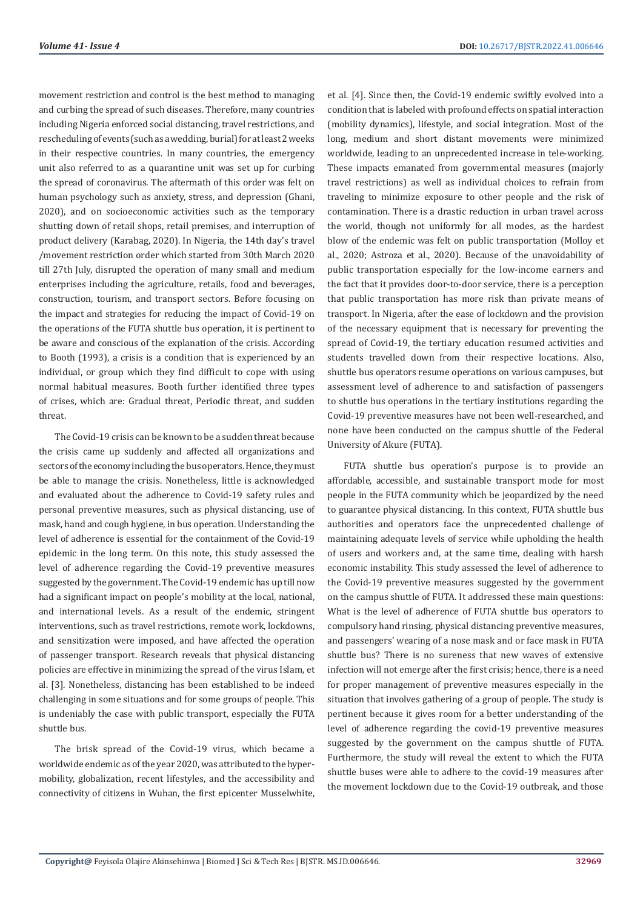movement restriction and control is the best method to managing and curbing the spread of such diseases. Therefore, many countries including Nigeria enforced social distancing, travel restrictions, and rescheduling of events (such as a wedding, burial) for at least 2 weeks in their respective countries. In many countries, the emergency unit also referred to as a quarantine unit was set up for curbing the spread of coronavirus. The aftermath of this order was felt on human psychology such as anxiety, stress, and depression (Ghani, 2020), and on socioeconomic activities such as the temporary shutting down of retail shops, retail premises, and interruption of product delivery (Karabag, 2020). In Nigeria, the 14th day's travel /movement restriction order which started from 30th March 2020 till 27th July, disrupted the operation of many small and medium enterprises including the agriculture, retails, food and beverages, construction, tourism, and transport sectors. Before focusing on the impact and strategies for reducing the impact of Covid-19 on the operations of the FUTA shuttle bus operation, it is pertinent to be aware and conscious of the explanation of the crisis. According to Booth (1993), a crisis is a condition that is experienced by an individual, or group which they find difficult to cope with using normal habitual measures. Booth further identified three types of crises, which are: Gradual threat, Periodic threat, and sudden threat.

The Covid-19 crisis can be known to be a sudden threat because the crisis came up suddenly and affected all organizations and sectors of the economy including the bus operators. Hence, they must be able to manage the crisis. Nonetheless, little is acknowledged and evaluated about the adherence to Covid-19 safety rules and personal preventive measures, such as physical distancing, use of mask, hand and cough hygiene, in bus operation. Understanding the level of adherence is essential for the containment of the Covid-19 epidemic in the long term. On this note, this study assessed the level of adherence regarding the Covid-19 preventive measures suggested by the government. The Covid-19 endemic has up till now had a significant impact on people's mobility at the local, national, and international levels. As a result of the endemic, stringent interventions, such as travel restrictions, remote work, lockdowns, and sensitization were imposed, and have affected the operation of passenger transport. Research reveals that physical distancing policies are effective in minimizing the spread of the virus Islam, et al. [3]. Nonetheless, distancing has been established to be indeed challenging in some situations and for some groups of people. This is undeniably the case with public transport, especially the FUTA shuttle bus.

The brisk spread of the Covid-19 virus, which became a worldwide endemic as of the year 2020, was attributed to the hypermobility, globalization, recent lifestyles, and the accessibility and connectivity of citizens in Wuhan, the first epicenter Musselwhite,

et al. [4]. Since then, the Covid-19 endemic swiftly evolved into a condition that is labeled with profound effects on spatial interaction (mobility dynamics), lifestyle, and social integration. Most of the long, medium and short distant movements were minimized worldwide, leading to an unprecedented increase in tele-working. These impacts emanated from governmental measures (majorly travel restrictions) as well as individual choices to refrain from traveling to minimize exposure to other people and the risk of contamination. There is a drastic reduction in urban travel across the world, though not uniformly for all modes, as the hardest blow of the endemic was felt on public transportation (Molloy et al., 2020; Astroza et al., 2020). Because of the unavoidability of public transportation especially for the low-income earners and the fact that it provides door-to-door service, there is a perception that public transportation has more risk than private means of transport. In Nigeria, after the ease of lockdown and the provision of the necessary equipment that is necessary for preventing the spread of Covid-19, the tertiary education resumed activities and students travelled down from their respective locations. Also, shuttle bus operators resume operations on various campuses, but assessment level of adherence to and satisfaction of passengers to shuttle bus operations in the tertiary institutions regarding the Covid-19 preventive measures have not been well-researched, and none have been conducted on the campus shuttle of the Federal University of Akure (FUTA).

FUTA shuttle bus operation's purpose is to provide an affordable, accessible, and sustainable transport mode for most people in the FUTA community which be jeopardized by the need to guarantee physical distancing. In this context, FUTA shuttle bus authorities and operators face the unprecedented challenge of maintaining adequate levels of service while upholding the health of users and workers and, at the same time, dealing with harsh economic instability. This study assessed the level of adherence to the Covid-19 preventive measures suggested by the government on the campus shuttle of FUTA. It addressed these main questions: What is the level of adherence of FUTA shuttle bus operators to compulsory hand rinsing, physical distancing preventive measures, and passengers' wearing of a nose mask and or face mask in FUTA shuttle bus? There is no sureness that new waves of extensive infection will not emerge after the first crisis; hence, there is a need for proper management of preventive measures especially in the situation that involves gathering of a group of people. The study is pertinent because it gives room for a better understanding of the level of adherence regarding the covid-19 preventive measures suggested by the government on the campus shuttle of FUTA. Furthermore, the study will reveal the extent to which the FUTA shuttle buses were able to adhere to the covid-19 measures after the movement lockdown due to the Covid-19 outbreak, and those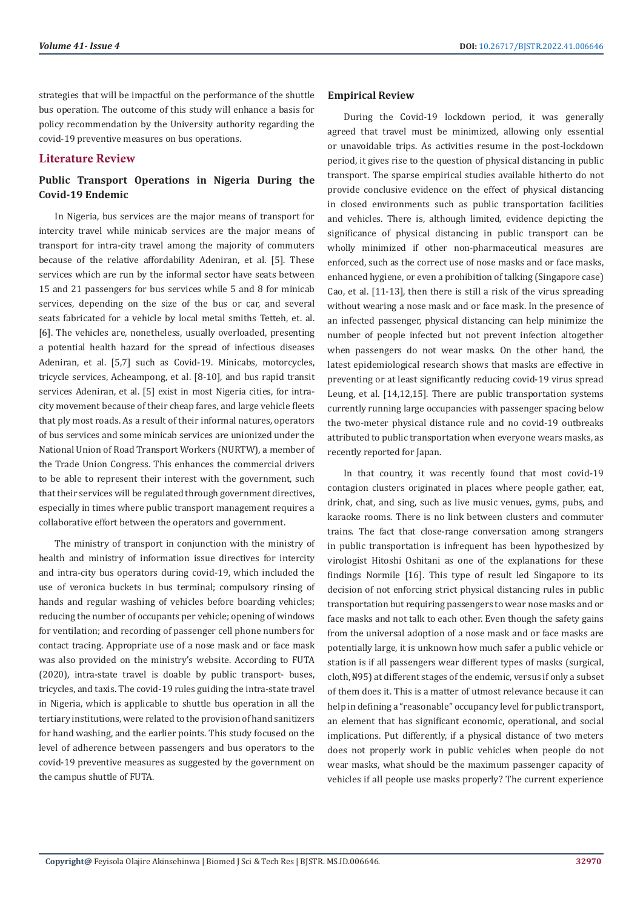strategies that will be impactful on the performance of the shuttle bus operation. The outcome of this study will enhance a basis for policy recommendation by the University authority regarding the covid-19 preventive measures on bus operations.

# **Literature Review**

# **Public Transport Operations in Nigeria During the Covid-19 Endemic**

In Nigeria, bus services are the major means of transport for intercity travel while minicab services are the major means of transport for intra-city travel among the majority of commuters because of the relative affordability Adeniran, et al. [5]. These services which are run by the informal sector have seats between 15 and 21 passengers for bus services while 5 and 8 for minicab services, depending on the size of the bus or car, and several seats fabricated for a vehicle by local metal smiths Tetteh, et. al. [6]. The vehicles are, nonetheless, usually overloaded, presenting a potential health hazard for the spread of infectious diseases Adeniran, et al. [5,7] such as Covid-19. Minicabs, motorcycles, tricycle services, Acheampong, et al. [8-10], and bus rapid transit services Adeniran, et al. [5] exist in most Nigeria cities, for intracity movement because of their cheap fares, and large vehicle fleets that ply most roads. As a result of their informal natures, operators of bus services and some minicab services are unionized under the National Union of Road Transport Workers (NURTW), a member of the Trade Union Congress. This enhances the commercial drivers to be able to represent their interest with the government, such that their services will be regulated through government directives, especially in times where public transport management requires a collaborative effort between the operators and government.

The ministry of transport in conjunction with the ministry of health and ministry of information issue directives for intercity and intra-city bus operators during covid-19, which included the use of veronica buckets in bus terminal; compulsory rinsing of hands and regular washing of vehicles before boarding vehicles; reducing the number of occupants per vehicle; opening of windows for ventilation; and recording of passenger cell phone numbers for contact tracing. Appropriate use of a nose mask and or face mask was also provided on the ministry's website. According to FUTA (2020), intra-state travel is doable by public transport- buses, tricycles, and taxis. The covid-19 rules guiding the intra-state travel in Nigeria, which is applicable to shuttle bus operation in all the tertiary institutions, were related to the provision of hand sanitizers for hand washing, and the earlier points. This study focused on the level of adherence between passengers and bus operators to the covid-19 preventive measures as suggested by the government on the campus shuttle of FUTA.

# **Empirical Review**

During the Covid-19 lockdown period, it was generally agreed that travel must be minimized, allowing only essential or unavoidable trips. As activities resume in the post-lockdown period, it gives rise to the question of physical distancing in public transport. The sparse empirical studies available hitherto do not provide conclusive evidence on the effect of physical distancing in closed environments such as public transportation facilities and vehicles. There is, although limited, evidence depicting the significance of physical distancing in public transport can be wholly minimized if other non-pharmaceutical measures are enforced, such as the correct use of nose masks and or face masks, enhanced hygiene, or even a prohibition of talking (Singapore case) Cao, et al. [11-13], then there is still a risk of the virus spreading without wearing a nose mask and or face mask. In the presence of an infected passenger, physical distancing can help minimize the number of people infected but not prevent infection altogether when passengers do not wear masks. On the other hand, the latest epidemiological research shows that masks are effective in preventing or at least significantly reducing covid-19 virus spread Leung, et al. [14,12,15]. There are public transportation systems currently running large occupancies with passenger spacing below the two-meter physical distance rule and no covid-19 outbreaks attributed to public transportation when everyone wears masks, as recently reported for Japan.

In that country, it was recently found that most covid-19 contagion clusters originated in places where people gather, eat, drink, chat, and sing, such as live music venues, gyms, pubs, and karaoke rooms. There is no link between clusters and commuter trains. The fact that close-range conversation among strangers in public transportation is infrequent has been hypothesized by virologist Hitoshi Oshitani as one of the explanations for these findings Normile [16]. This type of result led Singapore to its decision of not enforcing strict physical distancing rules in public transportation but requiring passengers to wear nose masks and or face masks and not talk to each other. Even though the safety gains from the universal adoption of a nose mask and or face masks are potentially large, it is unknown how much safer a public vehicle or station is if all passengers wear different types of masks (surgical, cloth, ₦95) at different stages of the endemic, versus if only a subset of them does it. This is a matter of utmost relevance because it can help in defining a "reasonable" occupancy level for public transport, an element that has significant economic, operational, and social implications. Put differently, if a physical distance of two meters does not properly work in public vehicles when people do not wear masks, what should be the maximum passenger capacity of vehicles if all people use masks properly? The current experience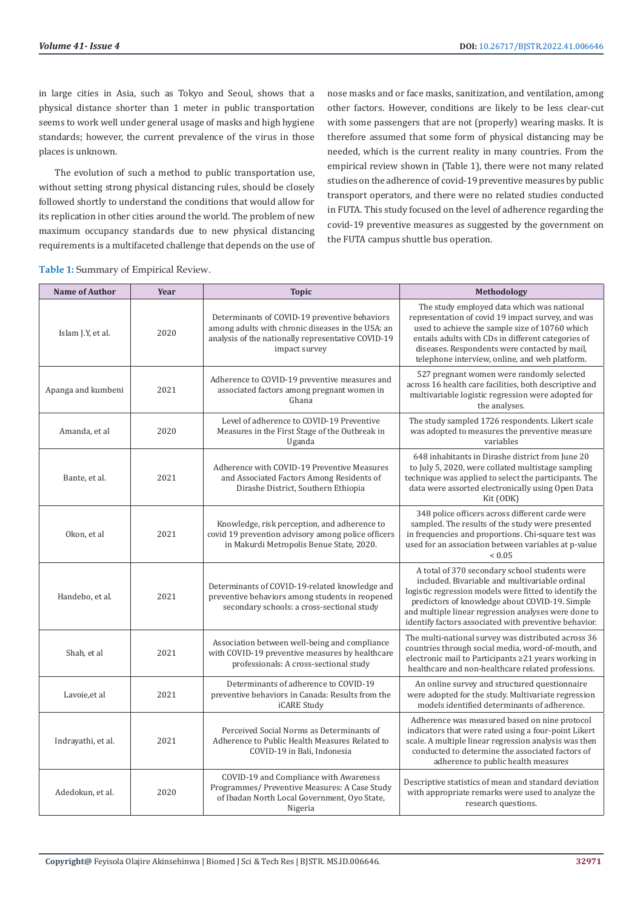in large cities in Asia, such as Tokyo and Seoul, shows that a physical distance shorter than 1 meter in public transportation seems to work well under general usage of masks and high hygiene standards; however, the current prevalence of the virus in those places is unknown.

The evolution of such a method to public transportation use, without setting strong physical distancing rules, should be closely followed shortly to understand the conditions that would allow for its replication in other cities around the world. The problem of new maximum occupancy standards due to new physical distancing requirements is a multifaceted challenge that depends on the use of

nose masks and or face masks, sanitization, and ventilation, among other factors. However, conditions are likely to be less clear-cut with some passengers that are not (properly) wearing masks. It is therefore assumed that some form of physical distancing may be needed, which is the current reality in many countries. From the empirical review shown in (Table 1), there were not many related studies on the adherence of covid-19 preventive measures by public transport operators, and there were no related studies conducted in FUTA. This study focused on the level of adherence regarding the covid-19 preventive measures as suggested by the government on the FUTA campus shuttle bus operation.

**Table 1:** Summary of Empirical Review.

| <b>Name of Author</b> | Year | <b>Topic</b>                                                                                                                                                              | Methodology                                                                                                                                                                                                                                                                                                                  |
|-----------------------|------|---------------------------------------------------------------------------------------------------------------------------------------------------------------------------|------------------------------------------------------------------------------------------------------------------------------------------------------------------------------------------------------------------------------------------------------------------------------------------------------------------------------|
| Islam J.Y, et al.     | 2020 | Determinants of COVID-19 preventive behaviors<br>among adults with chronic diseases in the USA: an<br>analysis of the nationally representative COVID-19<br>impact survey | The study employed data which was national<br>representation of covid 19 impact survey, and was<br>used to achieve the sample size of 10760 which<br>entails adults with CDs in different categories of<br>diseases. Respondents were contacted by mail,<br>telephone interview, online, and web platform.                   |
| Apanga and kumbeni    | 2021 | Adherence to COVID-19 preventive measures and<br>associated factors among pregnant women in<br>Ghana                                                                      | 527 pregnant women were randomly selected<br>across 16 health care facilities, both descriptive and<br>multivariable logistic regression were adopted for<br>the analyses.                                                                                                                                                   |
| Amanda, et al         | 2020 | Level of adherence to COVID-19 Preventive<br>Measures in the First Stage of the Outbreak in<br>Uganda                                                                     | The study sampled 1726 respondents. Likert scale<br>was adopted to measures the preventive measure<br>variables                                                                                                                                                                                                              |
| Bante, et al.         | 2021 | Adherence with COVID-19 Preventive Measures<br>and Associated Factors Among Residents of<br>Dirashe District, Southern Ethiopia                                           | 648 inhabitants in Dirashe district from June 20<br>to July 5, 2020, were collated multistage sampling<br>technique was applied to select the participants. The<br>data were assorted electronically using Open Data<br>Kit (ODK)                                                                                            |
| Okon, et al           | 2021 | Knowledge, risk perception, and adherence to<br>covid 19 prevention advisory among police officers<br>in Makurdi Metropolis Benue State, 2020.                            | 348 police officers across different carde were<br>sampled. The results of the study were presented<br>in frequencies and proportions. Chi-square test was<br>used for an association between variables at p-value<br>${}< 0.05$                                                                                             |
| Handebo, et al.       | 2021 | Determinants of COVID-19-related knowledge and<br>preventive behaviors among students in reopened<br>secondary schools: a cross-sectional study                           | A total of 370 secondary school students were<br>included. Bivariable and multivariable ordinal<br>logistic regression models were fitted to identify the<br>predictors of knowledge about COVID-19. Simple<br>and multiple linear regression analyses were done to<br>identify factors associated with preventive behavior. |
| Shah, et al           | 2021 | Association between well-being and compliance<br>with COVID-19 preventive measures by healthcare<br>professionals: A cross-sectional study                                | The multi-national survey was distributed across 36<br>countries through social media, word-of-mouth, and<br>electronic mail to Participants ≥21 years working in<br>healthcare and non-healthcare related professions.                                                                                                      |
| Lavoie, et al         | 2021 | Determinants of adherence to COVID-19<br>preventive behaviors in Canada: Results from the<br>iCARE Study                                                                  | An online survey and structured questionnaire<br>were adopted for the study. Multivariate regression<br>models identified determinants of adherence.                                                                                                                                                                         |
| Indrayathi, et al.    | 2021 | Perceived Social Norms as Determinants of<br>Adherence to Public Health Measures Related to<br>COVID-19 in Bali, Indonesia                                                | Adherence was measured based on nine protocol<br>indicators that were rated using a four-point Likert<br>scale. A multiple linear regression analysis was then<br>conducted to determine the associated factors of<br>adherence to public health measures                                                                    |
| Adedokun, et al.      | 2020 | COVID-19 and Compliance with Awareness<br>Programmes/ Preventive Measures: A Case Study<br>of Ibadan North Local Government, Oyo State,<br>Nigeria                        | Descriptive statistics of mean and standard deviation<br>with appropriate remarks were used to analyze the<br>research questions.                                                                                                                                                                                            |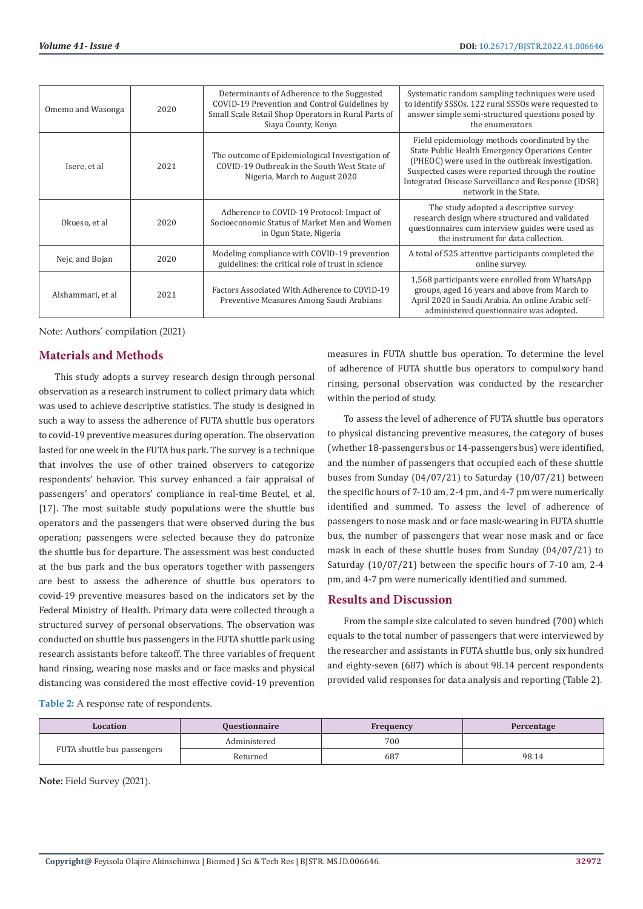| 2020<br>Omemo and Wasonga |      | Determinants of Adherence to the Suggested<br>COVID-19 Prevention and Control Guidelines by<br>Small Scale Retail Shop Operators in Rural Parts of      | Systematic random sampling techniques were used<br>to identify SSSOs. 122 rural SSSOs were requested to<br>answer simple semi-structured questions posed by                                                                                                                                                  |  |
|---------------------------|------|---------------------------------------------------------------------------------------------------------------------------------------------------------|--------------------------------------------------------------------------------------------------------------------------------------------------------------------------------------------------------------------------------------------------------------------------------------------------------------|--|
| Isere, et al              | 2021 | Siaya County, Kenya<br>The outcome of Epidemiological Investigation of<br>COVID-19 Outbreak in the South West State of<br>Nigeria, March to August 2020 | the enumerators<br>Field epidemiology methods coordinated by the<br>State Public Health Emergency Operations Center<br>(PHEOC) were used in the outbreak investigation.<br>Suspected cases were reported through the routine<br>Integrated Disease Surveillance and Response (IDSR)<br>network in the State. |  |
| Okueso, et al             | 2020 | Adherence to COVID-19 Protocol: Impact of<br>Socioeconomic Status of Market Men and Women<br>in Ogun State, Nigeria                                     | The study adopted a descriptive survey<br>research design where structured and validated<br>questionnaires cum interview guides were used as<br>the instrument for data collection.                                                                                                                          |  |
| Nejc, and Bojan           | 2020 | Modeling compliance with COVID-19 prevention<br>guidelines: the critical role of trust in science                                                       | A total of 525 attentive participants completed the<br>online survey.                                                                                                                                                                                                                                        |  |
| Alshammari, et al         | 2021 | Factors Associated With Adherence to COVID-19<br>Preventive Measures Among Saudi Arabians                                                               | 1,568 participants were enrolled from WhatsApp<br>groups, aged 16 years and above from March to<br>April 2020 in Saudi Arabia. An online Arabic self-<br>administered questionnaire was adopted.                                                                                                             |  |

Note: Authors' compilation (2021)

# **Materials and Methods**

This study adopts a survey research design through personal observation as a research instrument to collect primary data which was used to achieve descriptive statistics. The study is designed in such a way to assess the adherence of FUTA shuttle bus operators to covid-19 preventive measures during operation. The observation lasted for one week in the FUTA bus park. The survey is a technique that involves the use of other trained observers to categorize respondents' behavior. This survey enhanced a fair appraisal of passengers' and operators' compliance in real-time Beutel, et al. [17]. The most suitable study populations were the shuttle bus operators and the passengers that were observed during the bus operation; passengers were selected because they do patronize the shuttle bus for departure. The assessment was best conducted at the bus park and the bus operators together with passengers are best to assess the adherence of shuttle bus operators to covid-19 preventive measures based on the indicators set by the Federal Ministry of Health. Primary data were collected through a structured survey of personal observations. The observation was conducted on shuttle bus passengers in the FUTA shuttle park using research assistants before takeoff. The three variables of frequent hand rinsing, wearing nose masks and or face masks and physical distancing was considered the most effective covid-19 prevention

measures in FUTA shuttle bus operation. To determine the level of adherence of FUTA shuttle bus operators to compulsory hand rinsing, personal observation was conducted by the researcher within the period of study.

To assess the level of adherence of FUTA shuttle bus operators to physical distancing preventive measures, the category of buses (whether 18-passengers bus or 14-passengers bus) were identified, and the number of passengers that occupied each of these shuttle buses from Sunday (04/07/21) to Saturday (10/07/21) between the specific hours of 7-10 am, 2-4 pm, and 4-7 pm were numerically identified and summed. To assess the level of adherence of passengers to nose mask and or face mask-wearing in FUTA shuttle bus, the number of passengers that wear nose mask and or face mask in each of these shuttle buses from Sunday (04/07/21) to Saturday (10/07/21) between the specific hours of 7-10 am, 2-4 pm, and 4-7 pm were numerically identified and summed.

# **Results and Discussion**

From the sample size calculated to seven hundred (700) which equals to the total number of passengers that were interviewed by the researcher and assistants in FUTA shuttle bus, only six hundred and eighty-seven (687) which is about 98.14 percent respondents provided valid responses for data analysis and reporting (Table 2).

**Table 2:** A response rate of respondents.

| Location<br><b>Questionnaire</b> |              | Frequency | Percentage |
|----------------------------------|--------------|-----------|------------|
| FUTA shuttle bus passengers      | Administered | 700       |            |
|                                  | Returned     | 68        | 98.14      |

**Note:** Field Survey (2021).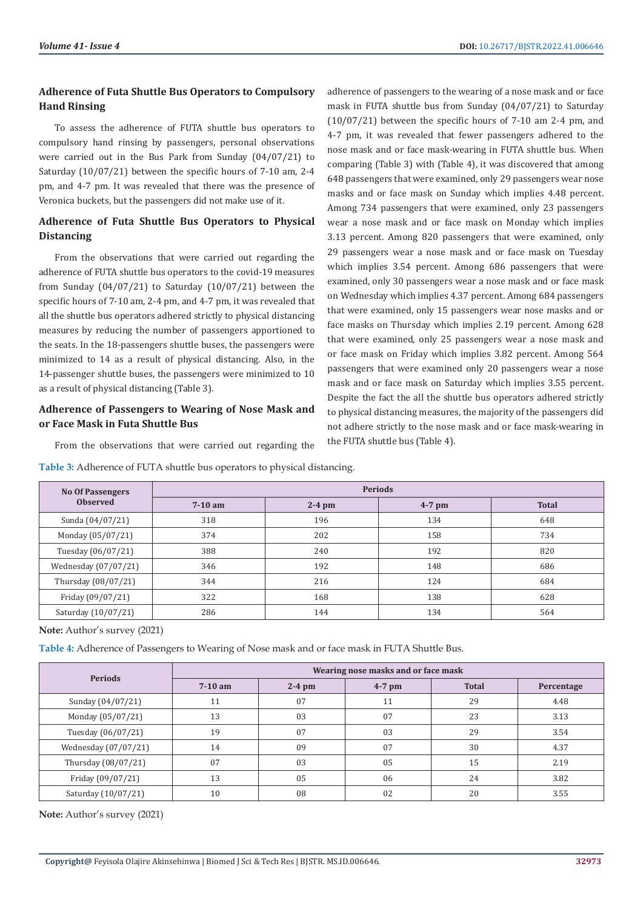# **Adherence of Futa Shuttle Bus Operators to Compulsory Hand Rinsing**

To assess the adherence of FUTA shuttle bus operators to compulsory hand rinsing by passengers, personal observations were carried out in the Bus Park from Sunday (04/07/21) to Saturday (10/07/21) between the specific hours of 7-10 am, 2-4 pm, and 4-7 pm. It was revealed that there was the presence of Veronica buckets, but the passengers did not make use of it.

# **Adherence of Futa Shuttle Bus Operators to Physical Distancing**

From the observations that were carried out regarding the adherence of FUTA shuttle bus operators to the covid-19 measures from Sunday (04/07/21) to Saturday (10/07/21) between the specific hours of 7-10 am, 2-4 pm, and 4-7 pm, it was revealed that all the shuttle bus operators adhered strictly to physical distancing measures by reducing the number of passengers apportioned to the seats. In the 18-passengers shuttle buses, the passengers were minimized to 14 as a result of physical distancing. Also, in the 14-passenger shuttle buses, the passengers were minimized to 10 as a result of physical distancing (Table 3).

# **Adherence of Passengers to Wearing of Nose Mask and or Face Mask in Futa Shuttle Bus**

From the observations that were carried out regarding the

adherence of passengers to the wearing of a nose mask and or face mask in FUTA shuttle bus from Sunday (04/07/21) to Saturday (10/07/21) between the specific hours of 7-10 am 2-4 pm, and 4-7 pm, it was revealed that fewer passengers adhered to the nose mask and or face mask-wearing in FUTA shuttle bus. When comparing (Table 3) with (Table 4), it was discovered that among 648 passengers that were examined, only 29 passengers wear nose masks and or face mask on Sunday which implies 4.48 percent. Among 734 passengers that were examined, only 23 passengers wear a nose mask and or face mask on Monday which implies 3.13 percent. Among 820 passengers that were examined, only 29 passengers wear a nose mask and or face mask on Tuesday which implies 3.54 percent. Among 686 passengers that were examined, only 30 passengers wear a nose mask and or face mask on Wednesday which implies 4.37 percent. Among 684 passengers that were examined, only 15 passengers wear nose masks and or face masks on Thursday which implies 2.19 percent. Among 628 that were examined, only 25 passengers wear a nose mask and or face mask on Friday which implies 3.82 percent. Among 564 passengers that were examined only 20 passengers wear a nose mask and or face mask on Saturday which implies 3.55 percent. Despite the fact the all the shuttle bus operators adhered strictly to physical distancing measures, the majority of the passengers did not adhere strictly to the nose mask and or face mask-wearing in the FUTA shuttle bus (Table 4).

| <b>No Of Passengers</b> | <b>Periods</b> |                      |     |              |  |
|-------------------------|----------------|----------------------|-----|--------------|--|
| <b>Observed</b>         | $7-10$ am      | $2-4$ pm<br>$4-7$ pm |     | <b>Total</b> |  |
| Sunda (04/07/21)        | 318            | 196                  | 134 | 648          |  |
| Monday (05/07/21)       | 374            | 202                  | 158 | 734          |  |
| Tuesday (06/07/21)      | 388            | 240                  | 192 | 820          |  |
| Wednesday (07/07/21)    | 346            | 192                  | 148 | 686          |  |
| Thursday (08/07/21)     | 344            | 216                  | 124 | 684          |  |
| Friday (09/07/21)       | 322            | 168                  | 138 | 628          |  |
| Saturday (10/07/21)     | 286<br>144     |                      | 134 | 564          |  |

**Table 3:** Adherence of FUTA shuttle bus operators to physical distancing.

**Note:** Author's survey (2021)

**Table 4:** Adherence of Passengers to Wearing of Nose mask and or face mask in FUTA Shuttle Bus.

| <b>Periods</b>       | Wearing nose masks and or face mask |          |          |              |            |
|----------------------|-------------------------------------|----------|----------|--------------|------------|
|                      | $7-10$ am                           | $2-4$ pm | $4-7$ pm | <b>Total</b> | Percentage |
| Sunday (04/07/21)    | 11                                  | 07       | 11       | 29           | 4.48       |
| Monday (05/07/21)    | 13                                  | 03       | 07       | 23           | 3.13       |
| Tuesday (06/07/21)   | 19                                  | 07       | 03       | 29           | 3.54       |
| Wednesday (07/07/21) | 14                                  | 09       | 07       | 30           | 4.37       |
| Thursday (08/07/21)  | 07                                  | 03       | 05       | 15           | 2.19       |
| Friday (09/07/21)    | 13                                  | 05       | 06       | 24           | 3.82       |
| Saturday (10/07/21)  | 10                                  | 08       | 02       | 20           | 3.55       |

**Note:** Author's survey (2021)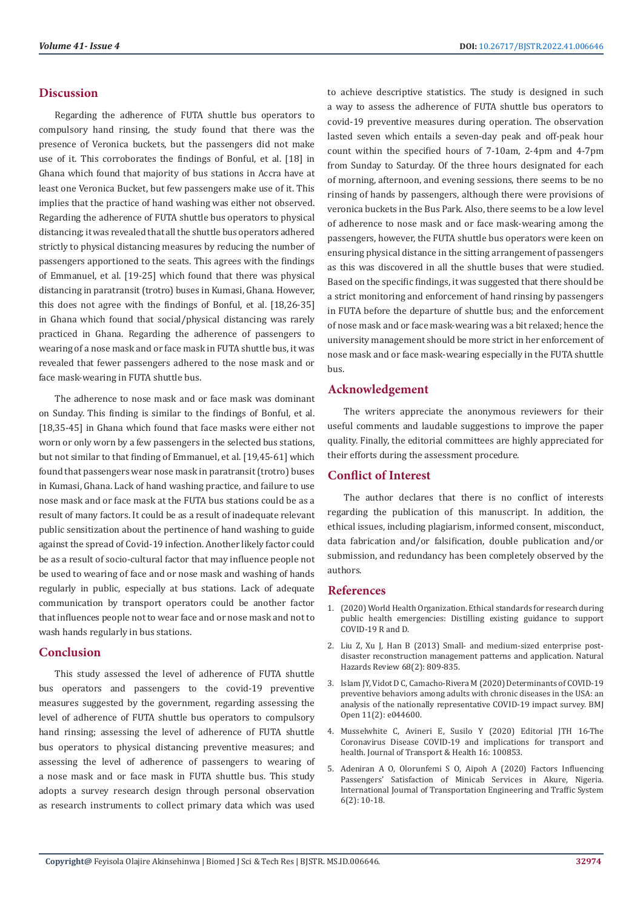# **Discussion**

Regarding the adherence of FUTA shuttle bus operators to compulsory hand rinsing, the study found that there was the presence of Veronica buckets, but the passengers did not make use of it. This corroborates the findings of Bonful, et al. [18] in Ghana which found that majority of bus stations in Accra have at least one Veronica Bucket, but few passengers make use of it. This implies that the practice of hand washing was either not observed. Regarding the adherence of FUTA shuttle bus operators to physical distancing; it was revealed that all the shuttle bus operators adhered strictly to physical distancing measures by reducing the number of passengers apportioned to the seats. This agrees with the findings of Emmanuel, et al. [19-25] which found that there was physical distancing in paratransit (trotro) buses in Kumasi, Ghana. However, this does not agree with the findings of Bonful, et al. [18,26-35] in Ghana which found that social/physical distancing was rarely practiced in Ghana. Regarding the adherence of passengers to wearing of a nose mask and or face mask in FUTA shuttle bus, it was revealed that fewer passengers adhered to the nose mask and or face mask-wearing in FUTA shuttle bus.

The adherence to nose mask and or face mask was dominant on Sunday. This finding is similar to the findings of Bonful, et al. [18,35-45] in Ghana which found that face masks were either not worn or only worn by a few passengers in the selected bus stations, but not similar to that finding of Emmanuel, et al. [19,45-61] which found that passengers wear nose mask in paratransit (trotro) buses in Kumasi, Ghana. Lack of hand washing practice, and failure to use nose mask and or face mask at the FUTA bus stations could be as a result of many factors. It could be as a result of inadequate relevant public sensitization about the pertinence of hand washing to guide against the spread of Covid-19 infection. Another likely factor could be as a result of socio-cultural factor that may influence people not be used to wearing of face and or nose mask and washing of hands regularly in public, especially at bus stations. Lack of adequate communication by transport operators could be another factor that influences people not to wear face and or nose mask and not to wash hands regularly in bus stations.

# **Conclusion**

This study assessed the level of adherence of FUTA shuttle bus operators and passengers to the covid-19 preventive measures suggested by the government, regarding assessing the level of adherence of FUTA shuttle bus operators to compulsory hand rinsing; assessing the level of adherence of FUTA shuttle bus operators to physical distancing preventive measures; and assessing the level of adherence of passengers to wearing of a nose mask and or face mask in FUTA shuttle bus. This study adopts a survey research design through personal observation as research instruments to collect primary data which was used

to achieve descriptive statistics. The study is designed in such a way to assess the adherence of FUTA shuttle bus operators to covid-19 preventive measures during operation. The observation lasted seven which entails a seven-day peak and off-peak hour count within the specified hours of 7-10am, 2-4pm and 4-7pm from Sunday to Saturday. Of the three hours designated for each of morning, afternoon, and evening sessions, there seems to be no rinsing of hands by passengers, although there were provisions of veronica buckets in the Bus Park. Also, there seems to be a low level of adherence to nose mask and or face mask-wearing among the passengers, however, the FUTA shuttle bus operators were keen on ensuring physical distance in the sitting arrangement of passengers as this was discovered in all the shuttle buses that were studied. Based on the specific findings, it was suggested that there should be a strict monitoring and enforcement of hand rinsing by passengers in FUTA before the departure of shuttle bus; and the enforcement of nose mask and or face mask-wearing was a bit relaxed; hence the university management should be more strict in her enforcement of nose mask and or face mask-wearing especially in the FUTA shuttle bus.

#### **Acknowledgement**

The writers appreciate the anonymous reviewers for their useful comments and laudable suggestions to improve the paper quality. Finally, the editorial committees are highly appreciated for their efforts during the assessment procedure.

# **Conflict of Interest**

The author declares that there is no conflict of interests regarding the publication of this manuscript. In addition, the ethical issues, including plagiarism, informed consent, misconduct, data fabrication and/or falsification, double publication and/or submission, and redundancy has been completely observed by the authors.

#### **References**

- 1. [\(2020\) World Health Organization. Ethical standards for research during](https://www.euro.who.int/en/health-topics/health-emergencies/coronavirus-covid-19/publications-and-technical-guidance/research-and-development/ethical-standards-for-research-during-public-health-emergencies-distilling-existing-guidance-to-support-covid-19-r-and-d,-5-may-2020) [public health emergencies: Distilling existing guidance to support](https://www.euro.who.int/en/health-topics/health-emergencies/coronavirus-covid-19/publications-and-technical-guidance/research-and-development/ethical-standards-for-research-during-public-health-emergencies-distilling-existing-guidance-to-support-covid-19-r-and-d,-5-may-2020) [COVID-19 R and D.](https://www.euro.who.int/en/health-topics/health-emergencies/coronavirus-covid-19/publications-and-technical-guidance/research-and-development/ethical-standards-for-research-during-public-health-emergencies-distilling-existing-guidance-to-support-covid-19-r-and-d,-5-may-2020)
- 2. [Liu Z, Xu J, Han B \(2013\) Small- and medium-sized enterprise post](https://eurekamag.com/research/036/833/036833816.php)[disaster reconstruction management patterns and application. Natural](https://eurekamag.com/research/036/833/036833816.php) [Hazards Review 68\(2\): 809-835.](https://eurekamag.com/research/036/833/036833816.php)
- 3. [Islam JY, Vidot D C, Camacho-Rivera M \(2020\) Determinants of COVID-19](https://pubmed.ncbi.nlm.nih.gov/33563624/) [preventive behaviors among adults with chronic diseases in the USA: an](https://pubmed.ncbi.nlm.nih.gov/33563624/) [analysis of the nationally representative COVID-19 impact survey. BMJ](https://pubmed.ncbi.nlm.nih.gov/33563624/) [Open 11\(2\): e044600.](https://pubmed.ncbi.nlm.nih.gov/33563624/)
- 4. [Musselwhite C, Avineri E, Susilo Y \(2020\) Editorial JTH 16-The](https://www.ncbi.nlm.nih.gov/labs/pmc/articles/PMC7174824/) [Coronavirus Disease COVID-19 and implications for transport and](https://www.ncbi.nlm.nih.gov/labs/pmc/articles/PMC7174824/) [health. Journal of Transport & Health 16: 100853.](https://www.ncbi.nlm.nih.gov/labs/pmc/articles/PMC7174824/)
- 5. [Adeniran A O, Olorunfemi S O, Aipoh A \(2020\) Factors Influencing](https://www.researchgate.net/publication/348432222_Factors_Influencing_Passengers) [Passengers' Satisfaction of Minicab Services in Akure, Nigeria.](https://www.researchgate.net/publication/348432222_Factors_Influencing_Passengers) [International Journal of Transportation Engineering and Traffic System](https://www.researchgate.net/publication/348432222_Factors_Influencing_Passengers) [6\(2\): 10-18.](https://www.researchgate.net/publication/348432222_Factors_Influencing_Passengers)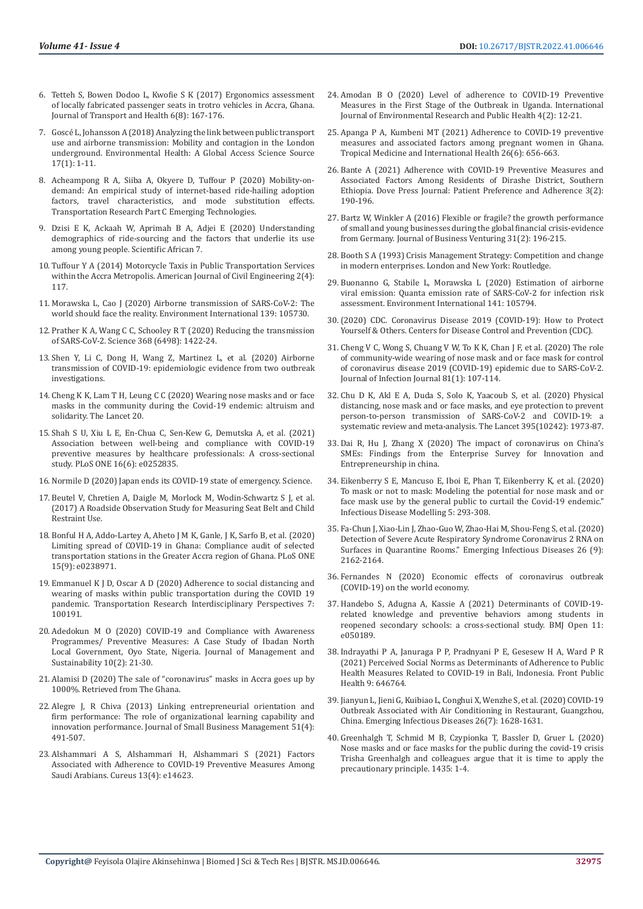- 6. [Tetteh S, Bowen Dodoo L, Kwofie S K \(2017\) Ergonomics assessment](https://www.researchgate.net/publication/317950544_Ergonomics_assessment_of_locally_fabricated_passenger_seats_in_trotro_vehicles_in_Accra_Ghana)  [of locally fabricated passenger seats in trotro vehicles in Accra, Ghana.](https://www.researchgate.net/publication/317950544_Ergonomics_assessment_of_locally_fabricated_passenger_seats_in_trotro_vehicles_in_Accra_Ghana)  [Journal of Transport and Health 6\(8\): 167-176.](https://www.researchgate.net/publication/317950544_Ergonomics_assessment_of_locally_fabricated_passenger_seats_in_trotro_vehicles_in_Accra_Ghana)
- 7. Goscé [L, Johansson A \(2018\) Analyzing the link between public transport](https://www.researchgate.net/publication/329410779_Analysing_the_link_between_public_transport_use_and_airborne_transmission_mobility_and_contagion_in_the_London_underground)  [use and airborne transmission: Mobility and contagion in the London](https://www.researchgate.net/publication/329410779_Analysing_the_link_between_public_transport_use_and_airborne_transmission_mobility_and_contagion_in_the_London_underground)  [underground. Environmental Health: A Global Access Science Source](https://www.researchgate.net/publication/329410779_Analysing_the_link_between_public_transport_use_and_airborne_transmission_mobility_and_contagion_in_the_London_underground)  [17\(1\): 1-11.](https://www.researchgate.net/publication/329410779_Analysing_the_link_between_public_transport_use_and_airborne_transmission_mobility_and_contagion_in_the_London_underground)
- 8. [Acheampong R A, Siiba A, Okyere D, Tuffour P \(2020\) Mobility-on](https://www.sciencedirect.com/science/article/abs/pii/S0968090X19314573)[demand: An empirical study of internet-based ride-hailing adoption](https://www.sciencedirect.com/science/article/abs/pii/S0968090X19314573)  [factors, travel characteristics, and mode substitution effects.](https://www.sciencedirect.com/science/article/abs/pii/S0968090X19314573)  [Transportation Research Part C Emerging Technologies.](https://www.sciencedirect.com/science/article/abs/pii/S0968090X19314573)
- 9. [Dzisi E K, Ackaah W, Aprimah B A, Adjei E \(2020\) Understanding](https://www.sciencedirect.com/science/article/pii/S2468227620300260)  [demographics of ride-sourcing and the factors that underlie its use](https://www.sciencedirect.com/science/article/pii/S2468227620300260)  [among young people. Scientific African 7.](https://www.sciencedirect.com/science/article/pii/S2468227620300260)
- 10. [Tuffour Y A \(2014\) Motorcycle Taxis in Public Transportation Services](https://www.sciencepublishinggroup.com/journal/paperinfo.aspx?journalid=229&doi=10.11648/j.ajce.20140204.12)  [within the Accra Metropolis. American Journal of Civil Engineering 2\(4\):](https://www.sciencepublishinggroup.com/journal/paperinfo.aspx?journalid=229&doi=10.11648/j.ajce.20140204.12)  [117.](https://www.sciencepublishinggroup.com/journal/paperinfo.aspx?journalid=229&doi=10.11648/j.ajce.20140204.12)
- 11. [Morawska L, Cao J \(2020\) Airborne transmission of SARS-CoV-2: The](https://www.sciencedirect.com/science/article/pii/S016041202031254X)  [world should face the reality. Environment International 139: 105730.](https://www.sciencedirect.com/science/article/pii/S016041202031254X)
- 12. [Prather K A, Wang C C, Schooley R T \(2020\) Reducing the transmission](https://pubmed.ncbi.nlm.nih.gov/32461212/)  [of SARS-CoV-2. Science 368 \(6498\): 1422-24.](https://pubmed.ncbi.nlm.nih.gov/32461212/)
- 13. [Shen Y, Li C, Dong H, Wang Z, Martinez L, et al. \(2020\) Airborne](https://www.researchgate.net/publication/340587916_Airborne_Transmission_of_COVID-19_Epidemiologic_Evidence_from_Two_Outbreak_Investigations)  [transmission of COVID-19: epidemiologic evidence from two outbreak](https://www.researchgate.net/publication/340587916_Airborne_Transmission_of_COVID-19_Epidemiologic_Evidence_from_Two_Outbreak_Investigations)  [investigations.](https://www.researchgate.net/publication/340587916_Airborne_Transmission_of_COVID-19_Epidemiologic_Evidence_from_Two_Outbreak_Investigations)
- 14. [Cheng K K, Lam T H, Leung C C \(2020\) Wearing nose masks and or face](https://pubmed.ncbi.nlm.nih.gov/32305074/)  [masks in the community during the Covid-19 endemic: altruism and](https://pubmed.ncbi.nlm.nih.gov/32305074/)  [solidarity. The Lancet 20.](https://pubmed.ncbi.nlm.nih.gov/32305074/)
- 15. [Shah S U, Xiu L E, En-Chua C, Sen-Kew G, Demutska A, et al. \(2021\)](https://pubmed.ncbi.nlm.nih.gov/34097719/)  [Association between well-being and compliance with COVID-19](https://pubmed.ncbi.nlm.nih.gov/34097719/)  [preventive measures by healthcare professionals: A cross-sectional](https://pubmed.ncbi.nlm.nih.gov/34097719/)  [study. PLoS ONE 16\(6\): e0252835.](https://pubmed.ncbi.nlm.nih.gov/34097719/)
- 16. [Normile D \(2020\) Japan ends its COVID-19 state of emergency. Science.](https://www.science.org/content/article/japan-ends-its-covid-19-state-emergency)
- 17. Beutel V, Chretien A, Daigle M, Morlock M, Wodin-Schwartz S J, et al. (2017) A Roadside Observation Study for Measuring Seat Belt and Child Restraint Use.
- 18. [Bonful H A, Addo-Lartey A, Aheto J M K, Ganle, J K, Sarfo B, et al. \(2020\)](https://www.ncbi.nlm.nih.gov/labs/pmc/articles/PMC7485755/)  [Limiting spread of COVID-19 in Ghana: Compliance audit of selected](https://www.ncbi.nlm.nih.gov/labs/pmc/articles/PMC7485755/)  [transportation stations in the Greater Accra region of Ghana. PLoS ONE](https://www.ncbi.nlm.nih.gov/labs/pmc/articles/PMC7485755/)  [15\(9\): e0238971.](https://www.ncbi.nlm.nih.gov/labs/pmc/articles/PMC7485755/)
- 19. [Emmanuel K J D, Oscar A D \(2020\) Adherence to social distancing and](https://www.ncbi.nlm.nih.gov/labs/pmc/articles/PMC7396893/)  [wearing of masks within public transportation during the COVID 19](https://www.ncbi.nlm.nih.gov/labs/pmc/articles/PMC7396893/)  [pandemic. Transportation Research Interdisciplinary Perspectives 7:](https://www.ncbi.nlm.nih.gov/labs/pmc/articles/PMC7396893/)  [100191.](https://www.ncbi.nlm.nih.gov/labs/pmc/articles/PMC7396893/)
- 20. [Adedokun M O \(2020\) COVID-19 and Compliance with Awareness](https://www.researchgate.net/publication/344958655_COVID-19_and_Compliance_with_Awareness_ProgrammesPreventive_Measures_A_Case_Study_of_Ibadan_North_Local_Government_Oyo_State_Nigeria)  [Programmes/ Preventive Measures: A Case Study of Ibadan North](https://www.researchgate.net/publication/344958655_COVID-19_and_Compliance_with_Awareness_ProgrammesPreventive_Measures_A_Case_Study_of_Ibadan_North_Local_Government_Oyo_State_Nigeria)  [Local Government, Oyo State, Nigeria. Journal of Management and](https://www.researchgate.net/publication/344958655_COVID-19_and_Compliance_with_Awareness_ProgrammesPreventive_Measures_A_Case_Study_of_Ibadan_North_Local_Government_Oyo_State_Nigeria)  [Sustainability 10\(2\): 21-30.](https://www.researchgate.net/publication/344958655_COVID-19_and_Compliance_with_Awareness_ProgrammesPreventive_Measures_A_Case_Study_of_Ibadan_North_Local_Government_Oyo_State_Nigeria)
- 21. Alamisi D (2020) The sale of "coronavirus" masks in Accra goes up by 1000%. Retrieved from The Ghana.
- 22. [Alegre J, R Chiva \(2013\) Linking entrepreneurial orientation and](https://www.tandfonline.com/doi/abs/10.1111/jsbm.12005)  [firm performance: The role of organizational learning capability and](https://www.tandfonline.com/doi/abs/10.1111/jsbm.12005)  [innovation performance. Journal of Small Business Management 51\(4\):](https://www.tandfonline.com/doi/abs/10.1111/jsbm.12005)  [491-507.](https://www.tandfonline.com/doi/abs/10.1111/jsbm.12005)
- 23. [Alshammari A S, Alshammari H, Alshammari S \(2021\) Factors](https://www.cureus.com/articles/43661-factors-associated-with-adherence-to-covid-19-preventive-measures-among-saudi-arabians)  [Associated with Adherence to COVID-19 Preventive Measures Among](https://www.cureus.com/articles/43661-factors-associated-with-adherence-to-covid-19-preventive-measures-among-saudi-arabians)  [Saudi Arabians. Cureus 13\(4\): e14623.](https://www.cureus.com/articles/43661-factors-associated-with-adherence-to-covid-19-preventive-measures-among-saudi-arabians)
- 24. Amodan B O (2020) Level of adherence to COVID-19 Preventive Measures in the First Stage of the Outbreak in Uganda. International Journal of Environmental Research and Public Health 4(2): 12-21.
- 25. [Apanga P A, Kumbeni MT \(2021\) Adherence to COVID-19 preventive](https://pubmed.ncbi.nlm.nih.gov/33638230/) [measures and associated factors among pregnant women in Ghana.](https://pubmed.ncbi.nlm.nih.gov/33638230/) [Tropical Medicine and International Health 26\(6\): 656-663.](https://pubmed.ncbi.nlm.nih.gov/33638230/)
- 26. Bante A (2021) Adherence with COVID-19 Preventive Measures and Associated Factors Among Residents of Dirashe District, Southern Ethiopia. Dove Press Journal: Patient Preference and Adherence 3(2): 190-196.
- 27. [Bartz W, Winkler A \(2016\) Flexible or fragile? the growth performance](https://www.sciencedirect.com/science/article/abs/pii/S0883902615000658) [of small and young businesses during the global financial crisis-evidence](https://www.sciencedirect.com/science/article/abs/pii/S0883902615000658) [from Germany. Journal of Business Venturing 31\(2\): 196-215.](https://www.sciencedirect.com/science/article/abs/pii/S0883902615000658)
- 28. Booth S A (1993) Crisis Management Strategy: Competition and change in modern enterprises. London and New York: Routledge.
- 29. [Buonanno G, Stabile L, Morawska L \(2020\) Estimation of airborne](https://pubmed.ncbi.nlm.nih.gov/32416374/) [viral emission: Quanta emission rate of SARS-CoV-2 for infection risk](https://pubmed.ncbi.nlm.nih.gov/32416374/) [assessment. Environment International 141: 105794.](https://pubmed.ncbi.nlm.nih.gov/32416374/)
- 30.[\(2020\) CDC. Coronavirus Disease 2019 \(COVID-19\): How to Protect](https://www.cdc.gov/coronavirus/2019-ncov/prevent-getting-sick/prevention.html?CDC_AA_refVal=https%3A%25) [Yourself & Others. Centers for Disease Control and Prevention \(CDC\).](https://www.cdc.gov/coronavirus/2019-ncov/prevent-getting-sick/prevention.html?CDC_AA_refVal=https%3A%25)
- 31. [Cheng V C, Wong S, Chuang V W, To K K, Chan J F, et al. \(2020\) The role](https://www.journalofinfection.com/article/S0163-4453(20)30235-8/fulltext) [of community-wide wearing of nose mask and or face mask for control](https://www.journalofinfection.com/article/S0163-4453(20)30235-8/fulltext) [of coronavirus disease 2019 \(COVID-19\) epidemic due to SARS-CoV-2.](https://www.journalofinfection.com/article/S0163-4453(20)30235-8/fulltext) [Journal of Infection Journal 81\(1\): 107-114.](https://www.journalofinfection.com/article/S0163-4453(20)30235-8/fulltext)
- 32. [Chu D K, Akl E A, Duda S, Solo K, Yaacoub S, et al. \(2020\) Physical](https://pubmed.ncbi.nlm.nih.gov/32497510/) [distancing, nose mask and or face masks, and eye protection to prevent](https://pubmed.ncbi.nlm.nih.gov/32497510/) [person-to-person transmission of SARS-CoV-2 and COVID-19: a](https://pubmed.ncbi.nlm.nih.gov/32497510/) [systematic review and meta-analysis. The Lancet 395\(10242\): 1973-87.](https://pubmed.ncbi.nlm.nih.gov/32497510/)
- 33. Dai R, Hu J, Zhang X (2020) The impact of coronavirus on China's SMEs: Findings from the Enterprise Survey for Innovation and Entrepreneurship in china.
- 34. [Eikenberry S E, Mancuso E, Iboi E, Phan T, Eikenberry K, et al. \(2020\)](https://pubmed.ncbi.nlm.nih.gov/32355904/) [To mask or not to mask: Modeling the potential for nose mask and or](https://pubmed.ncbi.nlm.nih.gov/32355904/) [face mask use by the general public to curtail the Covid-19 endemic."](https://pubmed.ncbi.nlm.nih.gov/32355904/) [Infectious Disease Modelling 5: 293-308.](https://pubmed.ncbi.nlm.nih.gov/32355904/)
- 35. [Fa-Chun J, Xiao-Lin J, Zhao-Guo W, Zhao-Hai M, Shou-Feng S, et al. \(2020\)](https://www.ncbi.nlm.nih.gov/labs/pmc/articles/PMC7454114/) [Detection of Severe Acute Respiratory Syndrome Coronavirus 2 RNA on](https://www.ncbi.nlm.nih.gov/labs/pmc/articles/PMC7454114/) [Surfaces in Quarantine Rooms." Emerging Infectious Diseases 26 \(9\):](https://www.ncbi.nlm.nih.gov/labs/pmc/articles/PMC7454114/) [2162-2164.](https://www.ncbi.nlm.nih.gov/labs/pmc/articles/PMC7454114/)
- 36. [Fernandes N \(2020\) Economic effects of coronavirus outbreak](https://papers.ssrn.com/sol3/papers.cfm?abstract_id=3557504) [\(COVID-19\) on the world economy.](https://papers.ssrn.com/sol3/papers.cfm?abstract_id=3557504)
- 37. [Handebo S, Adugna A, Kassie A \(2021\) Determinants of COVID-19](https://pubmed.ncbi.nlm.nih.gov/33895723/) [related knowledge and preventive behaviors among students in](https://pubmed.ncbi.nlm.nih.gov/33895723/) [reopened secondary schools: a cross-sectional study. BMJ Open 11:](https://pubmed.ncbi.nlm.nih.gov/33895723/) [e050189.](https://pubmed.ncbi.nlm.nih.gov/33895723/)
- 38. [Indrayathi P A, Januraga P P, Pradnyani P E, Gesesew H A, Ward P R](https://pubmed.ncbi.nlm.nih.gov/33996723/) [\(2021\) Perceived Social Norms as Determinants of Adherence to Public](https://pubmed.ncbi.nlm.nih.gov/33996723/) [Health Measures Related to COVID-19 in Bali, Indonesia. Front Public](https://pubmed.ncbi.nlm.nih.gov/33996723/) [Health 9: 646764.](https://pubmed.ncbi.nlm.nih.gov/33996723/)
- 39. Jianyun L, Jieni G, Kuibiao L, Conghui X, Wenzhe S, et al. (2020) COVID-19 Outbreak Associated with Air Conditioning in Restaurant, Guangzhou, China. Emerging Infectious Diseases 26(7): 1628-1631.
- 40. [Greenhalgh T, Schmid M B, Czypionka T, Bassler D, Gruer L \(2020\)](https://www.bmj.com/content/369/bmj.m1435) [Nose masks and or face masks for the public during the covid-19 crisis](https://www.bmj.com/content/369/bmj.m1435) [Trisha Greenhalgh and colleagues argue that it is time to apply the](https://www.bmj.com/content/369/bmj.m1435) [precautionary principle. 1435: 1-4.](https://www.bmj.com/content/369/bmj.m1435)